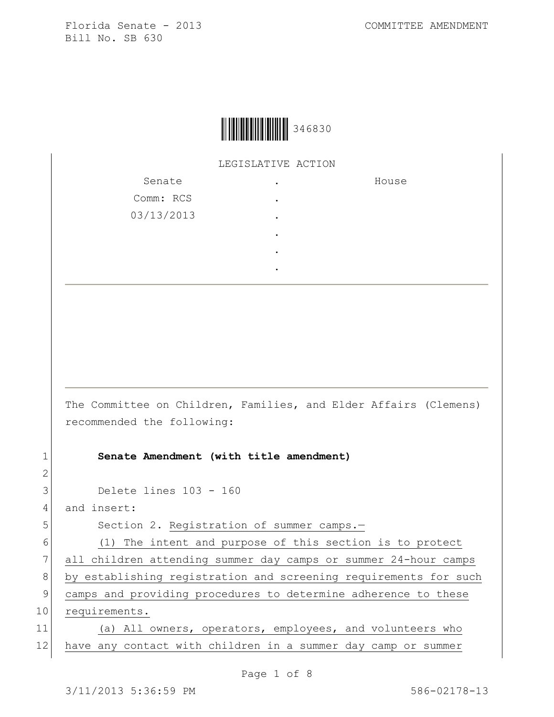

LEGISLATIVE ACTION

| Senate     | $\bullet$ | House |
|------------|-----------|-------|
| Comm: RCS  | $\bullet$ |       |
| 03/13/2013 | $\bullet$ |       |
|            | $\bullet$ |       |
|            | $\bullet$ |       |
|            | ٠         |       |

The Committee on Children, Families, and Elder Affairs (Clemens) recommended the following:

1 **Senate Amendment (with title amendment)**

3 Delete lines 103 - 160

4 and insert:

2

5 Section 2. Registration of summer camps.-

6 (1) The intent and purpose of this section is to protect 7 all children attending summer day camps or summer 24-hour camps 8 by establishing registration and screening requirements for such 9 camps and providing procedures to determine adherence to these 10 requirements.

11 (a) All owners, operators, employees, and volunteers who 12 have any contact with children in a summer day camp or summer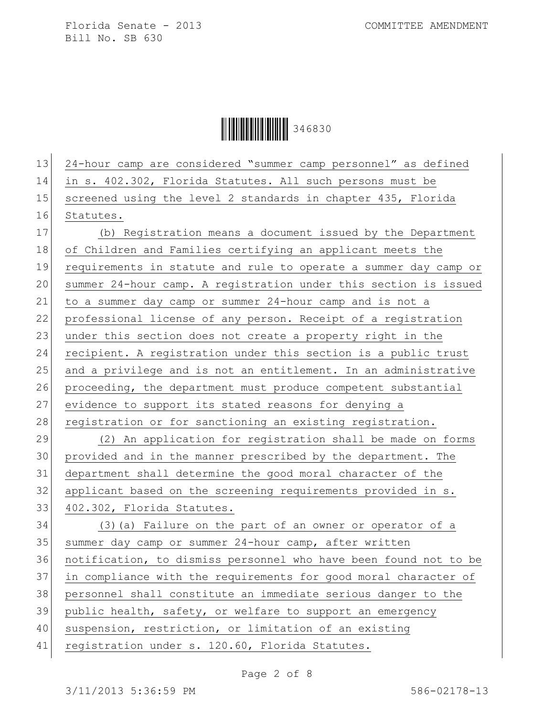Ì346830!Î346830

 24-hour camp are considered "summer camp personnel" as defined in s. 402.302, Florida Statutes. All such persons must be 15 screened using the level 2 standards in chapter 435, Florida Statutes. (b) Registration means a document issued by the Department of Children and Families certifying an applicant meets the requirements in statute and rule to operate a summer day camp or summer 24-hour camp. A registration under this section is issued to a summer day camp or summer 24-hour camp and is not a 22 professional license of any person. Receipt of a registration 23 under this section does not create a property right in the recipient. A registration under this section is a public trust and a privilege and is not an entitlement. In an administrative 26 proceeding, the department must produce competent substantial 27 evidence to support its stated reasons for denying a 28 registration or for sanctioning an existing registration. (2) An application for registration shall be made on forms provided and in the manner prescribed by the department. The department shall determine the good moral character of the applicant based on the screening requirements provided in s. 402.302, Florida Statutes. (3)(a) Failure on the part of an owner or operator of a 35 summer day camp or summer 24-hour camp, after written notification, to dismiss personnel who have been found not to be in compliance with the requirements for good moral character of personnel shall constitute an immediate serious danger to the 39 public health, safety, or welfare to support an emergency suspension, restriction, or limitation of an existing 41 registration under s. 120.60, Florida Statutes.

Page 2 of 8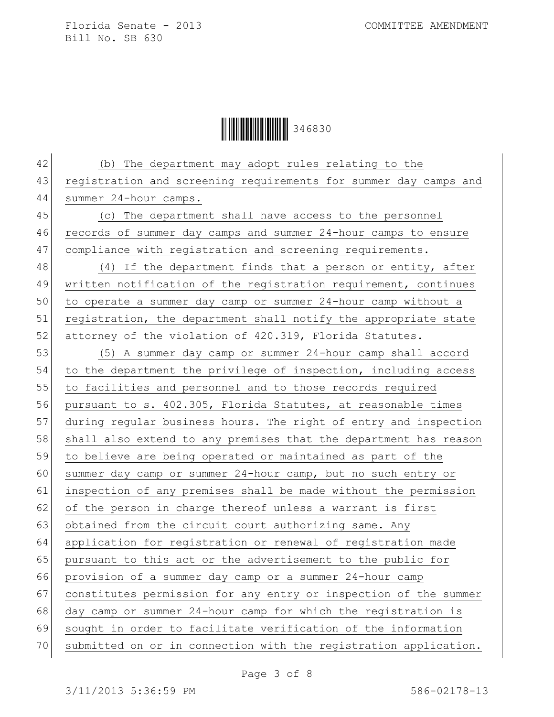**││││││││││││││** 346830

42 (b) The department may adopt rules relating to the 43 registration and screening requirements for summer day camps and 44 summer 24-hour camps. 45 (c) The department shall have access to the personnel 46 records of summer day camps and summer 24-hour camps to ensure 47 compliance with registration and screening requirements.  $48$  (4) If the department finds that a person or entity, after 49 written notification of the registration requirement, continues 50 to operate a summer day camp or summer 24-hour camp without a 51 registration, the department shall notify the appropriate state 52 attorney of the violation of 420.319, Florida Statutes. 53 (5) A summer day camp or summer 24-hour camp shall accord 54 to the department the privilege of inspection, including access 55 to facilities and personnel and to those records required 56 pursuant to s. 402.305, Florida Statutes, at reasonable times 57 during regular business hours. The right of entry and inspection 58 shall also extend to any premises that the department has reason 59 to believe are being operated or maintained as part of the 60 summer day camp or summer 24-hour camp, but no such entry or 61 inspection of any premises shall be made without the permission 62 of the person in charge thereof unless a warrant is first 63 obtained from the circuit court authorizing same. Any 64 application for registration or renewal of registration made 65 pursuant to this act or the advertisement to the public for 66 provision of a summer day camp or a summer 24-hour camp 67 constitutes permission for any entry or inspection of the summer 68 day camp or summer 24-hour camp for which the registration is 69 sought in order to facilitate verification of the information 70 submitted on or in connection with the registration application.

Page 3 of 8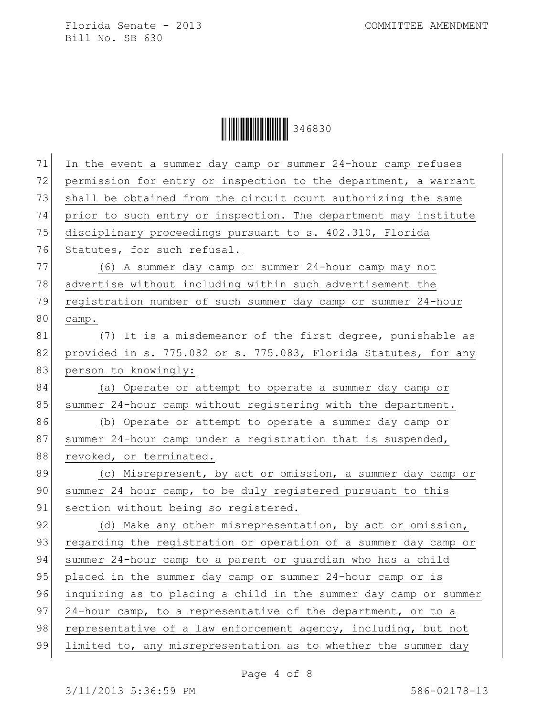Ì346830!Î346830

| 71<br>In the event a summer day camp or summer 24-hour camp refuses    |
|------------------------------------------------------------------------|
| 72<br>permission for entry or inspection to the department, a warrant  |
| 73<br>shall be obtained from the circuit court authorizing the same    |
| prior to such entry or inspection. The department may institute        |
| 75<br>disciplinary proceedings pursuant to s. 402.310, Florida         |
| 76<br>Statutes, for such refusal.                                      |
| 77<br>(6) A summer day camp or summer 24-hour camp may not             |
| 78<br>advertise without including within such advertisement the        |
| 79<br>registration number of such summer day camp or summer 24-hour    |
| camp.                                                                  |
| (7) It is a misdemeanor of the first degree, punishable as             |
| 82<br>provided in s. 775.082 or s. 775.083, Florida Statutes, for any  |
| 83<br>person to knowingly:                                             |
| (a) Operate or attempt to operate a summer day camp or                 |
| 85<br>summer 24-hour camp without registering with the department.     |
| 86<br>(b) Operate or attempt to operate a summer day camp or           |
| 87<br>summer 24-hour camp under a registration that is suspended,      |
| 88<br>revoked, or terminated.                                          |
| 89<br>(c) Misrepresent, by act or omission, a summer day camp or       |
| 90<br>summer 24 hour camp, to be duly registered pursuant to this      |
| section without being so registered.                                   |
| (d) Make any other misrepresentation, by act or omission,              |
| 93<br>regarding the registration or operation of a summer day camp or  |
| summer 24-hour camp to a parent or guardian who has a child            |
| 95<br>placed in the summer day camp or summer 24-hour camp or is       |
| 96<br>inquiring as to placing a child in the summer day camp or summer |
| 24-hour camp, to a representative of the department, or to a           |
| representative of a law enforcement agency, including, but not         |
| limited to, any misrepresentation as to whether the summer day         |
|                                                                        |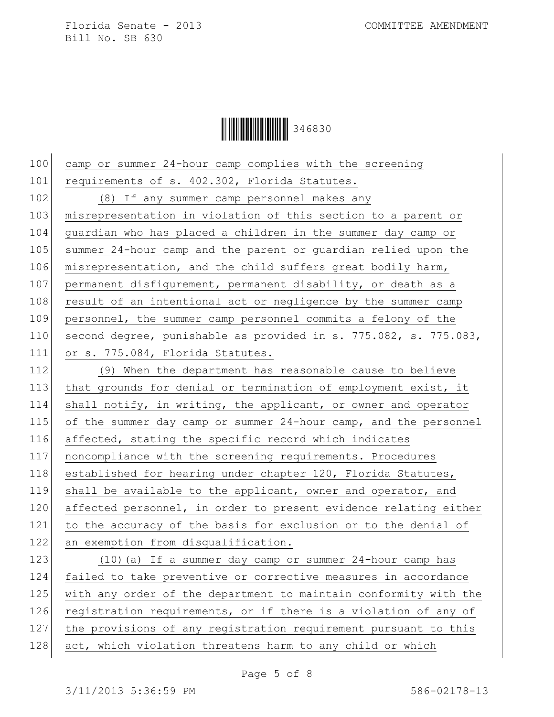**││││││││││││││** 346830

100 camp or summer 24-hour camp complies with the screening 101 requirements of s. 402.302, Florida Statutes. 102 (8) If any summer camp personnel makes any 103 misrepresentation in violation of this section to a parent or 104 guardian who has placed a children in the summer day camp or 105 summer 24-hour camp and the parent or guardian relied upon the 106 misrepresentation, and the child suffers great bodily harm, 107 permanent disfigurement, permanent disability, or death as a 108 result of an intentional act or negligence by the summer camp 109 personnel, the summer camp personnel commits a felony of the 110 second degree, punishable as provided in s. 775.082, s. 775.083, 111 or s. 775.084, Florida Statutes. 112 (9) When the department has reasonable cause to believe 113 that grounds for denial or termination of employment exist, it 114 shall notify, in writing, the applicant, or owner and operator 115 of the summer day camp or summer 24-hour camp, and the personnel 116 affected, stating the specific record which indicates 117 noncompliance with the screening requirements. Procedures 118 established for hearing under chapter 120, Florida Statutes, 119 shall be available to the applicant, owner and operator, and 120 affected personnel, in order to present evidence relating either 121 to the accuracy of the basis for exclusion or to the denial of 122 an exemption from disqualification. 123 (10)(a) If a summer day camp or summer 24-hour camp has 124 failed to take preventive or corrective measures in accordance 125 with any order of the department to maintain conformity with the 126 registration requirements, or if there is a violation of any of 127 the provisions of any registration requirement pursuant to this 128 act, which violation threatens harm to any child or which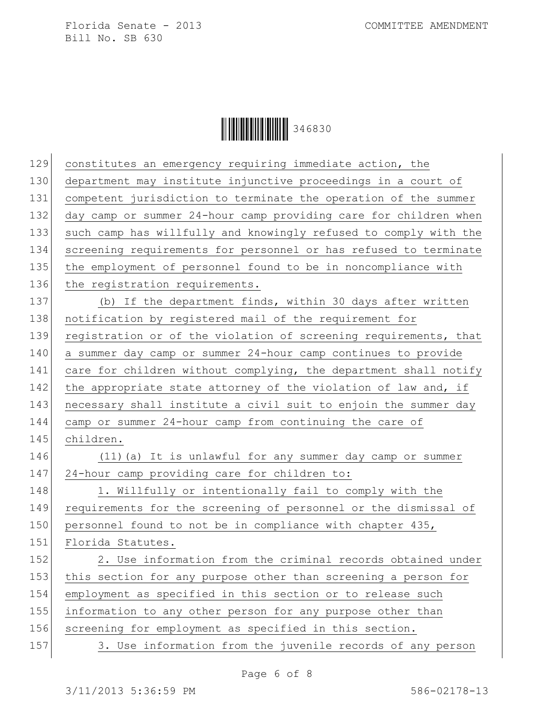Ì346830!Î346830

| 129 | constitutes an emergency requiring immediate action, the         |
|-----|------------------------------------------------------------------|
| 130 | department may institute injunctive proceedings in a court of    |
| 131 | competent jurisdiction to terminate the operation of the summer  |
| 132 | day camp or summer 24-hour camp providing care for children when |
| 133 | such camp has willfully and knowingly refused to comply with the |
| 134 | screening requirements for personnel or has refused to terminate |
| 135 | the employment of personnel found to be in noncompliance with    |
| 136 | the registration requirements.                                   |
| 137 | (b) If the department finds, within 30 days after written        |
| 138 | notification by registered mail of the requirement for           |
| 139 | registration or of the violation of screening requirements, that |
| 140 | a summer day camp or summer 24-hour camp continues to provide    |
| 141 | care for children without complying, the department shall notify |
| 142 | the appropriate state attorney of the violation of law and, if   |
| 143 | necessary shall institute a civil suit to enjoin the summer day  |
| 144 | camp or summer 24-hour camp from continuing the care of          |
|     |                                                                  |
| 145 | children.                                                        |
| 146 | (11) (a) It is unlawful for any summer day camp or summer        |
| 147 | 24-hour camp providing care for children to:                     |
| 148 | 1. Willfully or intentionally fail to comply with the            |
| 149 | requirements for the screening of personnel or the dismissal of  |
| 150 | personnel found to not be in compliance with chapter 435,        |
| 151 | Florida Statutes.                                                |
| 152 | 2. Use information from the criminal records obtained under      |
| 153 | this section for any purpose other than screening a person for   |
| 154 | employment as specified in this section or to release such       |
| 155 | information to any other person for any purpose other than       |
| 156 | screening for employment as specified in this section.           |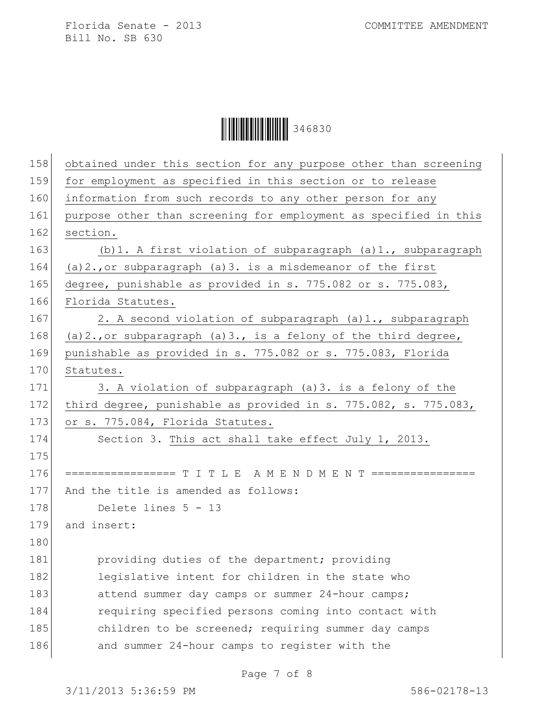Ì346830!Î346830

| 158 | obtained under this section for any purpose other than screening       |
|-----|------------------------------------------------------------------------|
| 159 | for employment as specified in this section or to release              |
| 160 | information from such records to any other person for any              |
| 161 | purpose other than screening for employment as specified in this       |
| 162 | section.                                                               |
| 163 | (b) 1. A first violation of subparagraph (a) 1., subparagraph          |
| 164 | $(a) 2.,$ or subparagraph $(a) 3.$ is a misdemeanor of the first       |
| 165 | degree, punishable as provided in s. 775.082 or s. 775.083,            |
| 166 | Florida Statutes.                                                      |
| 167 | 2. A second violation of subparagraph (a)1., subparagraph              |
| 168 | $(a) 2.$ , or subparagraph $(a) 3.$ , is a felony of the third degree, |
| 169 | punishable as provided in s. 775.082 or s. 775.083, Florida            |
| 170 | Statutes.                                                              |
| 171 | 3. A violation of subparagraph (a) 3. is a felony of the               |
| 172 | third degree, punishable as provided in s. 775.082, s. 775.083,        |
| 173 | or s. 775.084, Florida Statutes.                                       |
| 174 | Section 3. This act shall take effect July 1, 2013.                    |
| 175 |                                                                        |
| 176 | ================== T I T L E A M E N D M E N T ================        |
| 177 | And the title is amended as follows:                                   |
| 178 | Delete lines 5 - 13                                                    |
| 179 | and insert:                                                            |
| 180 |                                                                        |
| 181 | providing duties of the department; providing                          |
| 182 | legislative intent for children in the state who                       |
| 183 | attend summer day camps or summer 24-hour camps;                       |
| 184 | requiring specified persons coming into contact with                   |
| 185 | children to be screened; requiring summer day camps                    |
| 186 | and summer 24-hour camps to register with the                          |
|     |                                                                        |